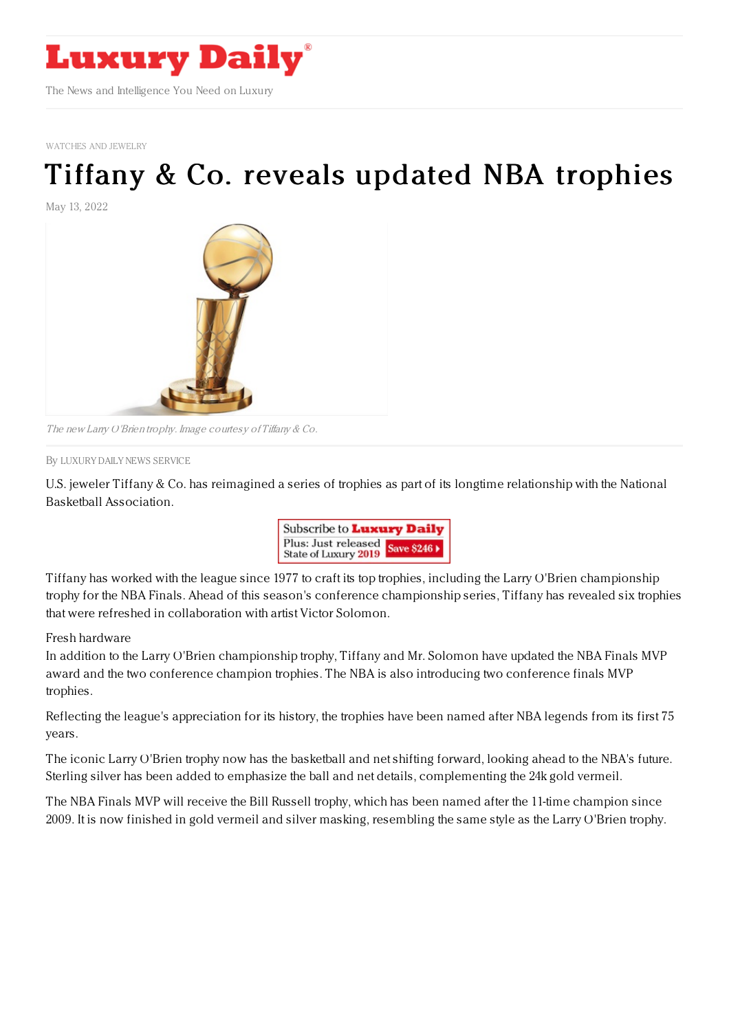

[WATCHES](https://www.luxurydaily.com/category/sectors/jewelry/) AND JEWELRY

## Tiffany & Co. reveals [updated](https://www.luxurydaily.com/tiffany-co-reveals-updated-nba-trophies/) NBA trophies

May 13, 2022



The new Larry O'Brien trophy. Image courtesy of Tiffany & Co.

By LUXURY DAILY NEWS [SERVICE](file:///author/luxury-daily-news-service)

U.S. jeweler Tiffany & Co. has reimagined a series of trophies as part of its longtime relationship with the National Basketball Association.



Tiffany has worked with the league since 1977 to craft its top trophies, including the Larry O'Brien championship trophy for the NBA Finals. Ahead of this season's conference championship series, Tiffany has revealed six trophies that were refreshed in collaboration with artist Victor Solomon.

## Fresh hardware

In addition to the Larry O'Brien championship trophy, Tiffany and Mr. Solomon have updated the NBA Finals MVP award and the two conference champion trophies. The NBA is also introducing two conference finals MVP trophies.

Reflecting the league's appreciation for its history, the trophies have been named after NBA legends from its first 75 years.

The iconic Larry O'Brien trophy now has the basketball and net shifting forward, looking ahead to the NBA's future. Sterling silver has been added to emphasize the ball and net details, complementing the 24k gold vermeil.

The NBA Finals MVP will receive the Bill Russell trophy, which has been named after the 11-time champion since 2009. It is now finished in gold vermeil and silver masking, resembling the same style as the Larry O'Brien trophy.